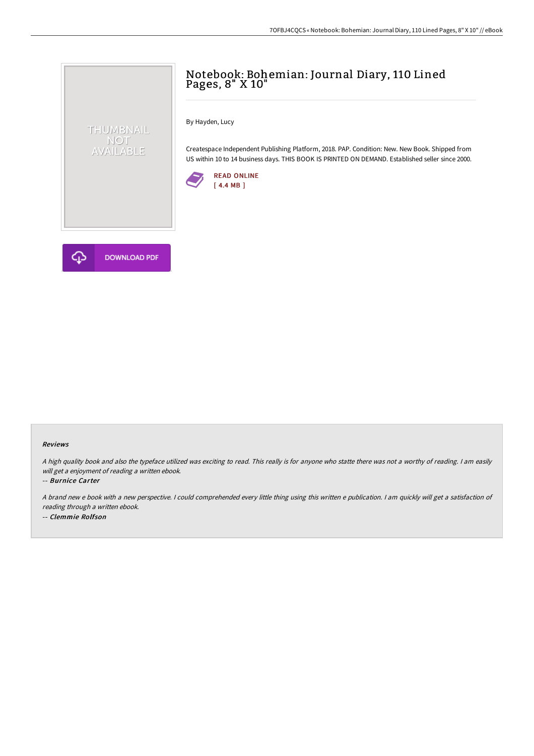## Notebook: Bohemian: Journal Diary, 110 Lined Pages, 8" X 10"

By Hayden, Lucy

Createspace Independent Publishing Platform, 2018. PAP. Condition: New. New Book. Shipped from US within 10 to 14 business days. THIS BOOK IS PRINTED ON DEMAND. Established seller since 2000.





THUMBNAIL NOT<br>AVAILABLE

## Reviews

<sup>A</sup> high quality book and also the typeface utilized was exciting to read. This really is for anyone who statte there was not <sup>a</sup> worthy of reading. <sup>I</sup> am easily will get <sup>a</sup> enjoyment of reading <sup>a</sup> written ebook.

-- Burnice Carter

A brand new e book with a new perspective. I could comprehended every little thing using this written e publication. I am quickly will get a satisfaction of reading through <sup>a</sup> written ebook.

-- Clemmie Rolfson